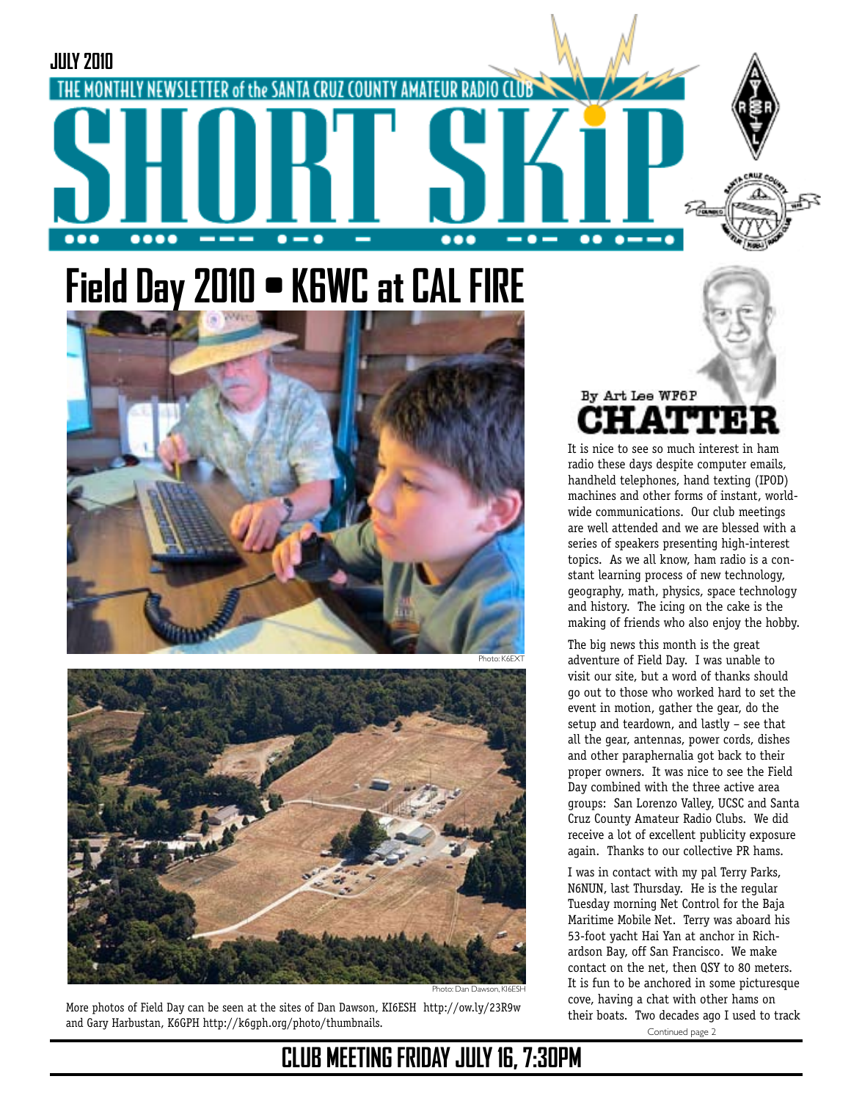# **Field Day 2010 • K6WC at CAL FIRE**

FER of the SANTA CRUZ COUNTY AMATEUR

**JULY 2010**

....





Photo: Dan Dawson, KI6ESH

Photo: K6EXT

 $\bullet$   $-$ 

 $\bullet$ 

..

 $\bullet$   $\bullet$ 

More photos of Field Day can be seen at the sites of Dan Dawson, KI6ESH http://ow.ly/23R9w and Gary Harbustan, K6GPH http://k6gph.org/photo/thumbnails.

By Art Lee WF6P

It is nice to see so much interest in ham radio these days despite computer emails, handheld telephones, hand texting (IPOD) machines and other forms of instant, worldwide communications. Our club meetings are well attended and we are blessed with a series of speakers presenting high-interest topics. As we all know, ham radio is a constant learning process of new technology, geography, math, physics, space technology and history. The icing on the cake is the making of friends who also enjoy the hobby.

The big news this month is the great adventure of Field Day. I was unable to visit our site, but a word of thanks should go out to those who worked hard to set the event in motion, gather the gear, do the setup and teardown, and lastly – see that all the gear, antennas, power cords, dishes and other paraphernalia got back to their proper owners. It was nice to see the Field Day combined with the three active area groups: San Lorenzo Valley, UCSC and Santa Cruz County Amateur Radio Clubs. We did receive a lot of excellent publicity exposure again. Thanks to our collective PR hams.

Continued page 2 I was in contact with my pal Terry Parks, N6NUN, last Thursday. He is the regular Tuesday morning Net Control for the Baja Maritime Mobile Net. Terry was aboard his 53-foot yacht Hai Yan at anchor in Richardson Bay, off San Francisco. We make contact on the net, then QSY to 80 meters. It is fun to be anchored in some picturesque cove, having a chat with other hams on their boats. Two decades ago I used to track

## **CLUB MEETING FRIDAY JULY 16, 7:30PM**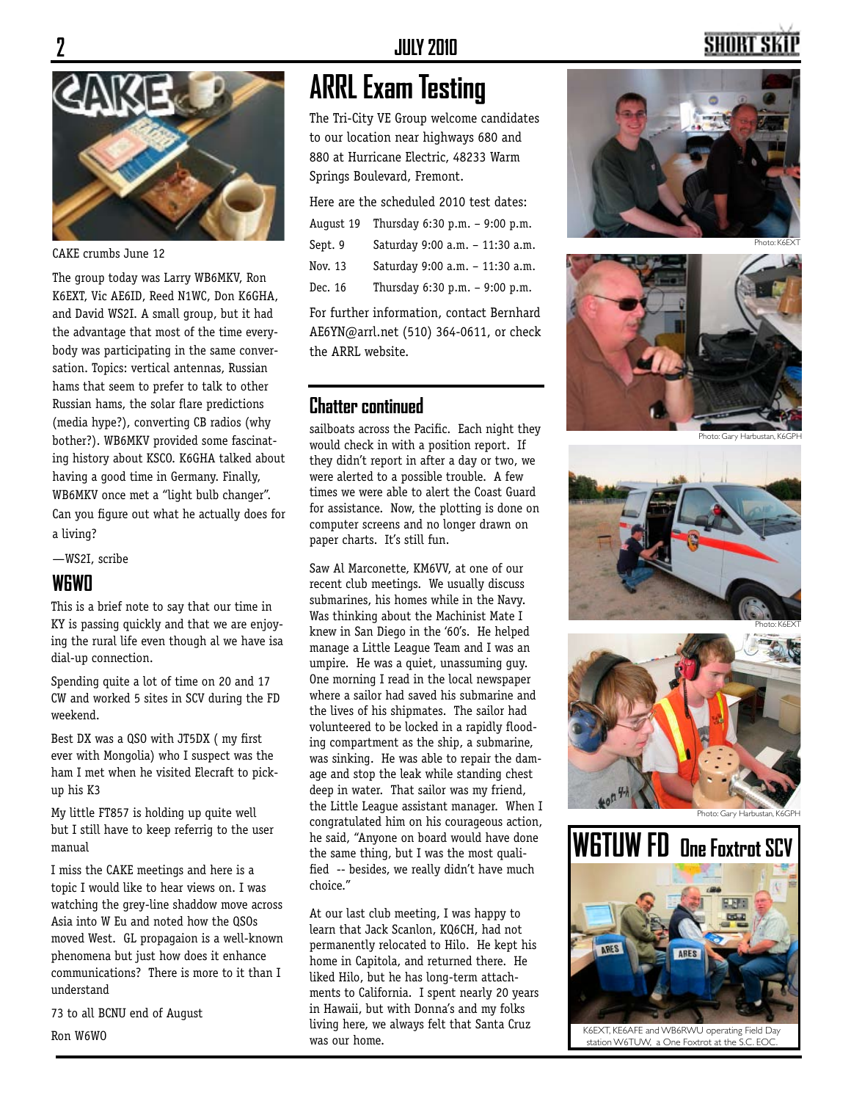

CAKE crumbs June 12

The group today was Larry WB6MKV, Ron K6EXT, Vic AE6ID, Reed N1WC, Don K6GHA, and David WS2I. A small group, but it had the advantage that most of the time everybody was participating in the same conversation. Topics: vertical antennas, Russian hams that seem to prefer to talk to other Russian hams, the solar flare predictions (media hype?), converting CB radios (why bother?). WB6MKV provided some fascinating history about KSCO. K6GHA talked about having a good time in Germany. Finally, WB6MKV once met a "light bulb changer". Can you figure out what he actually does for a living?

—WS2I, scribe

#### **W6WO**

This is a brief note to say that our time in KY is passing quickly and that we are enjoying the rural life even though al we have isa dial-up connection.

Spending quite a lot of time on 20 and 17 CW and worked 5 sites in SCV during the FD weekend.

Best DX was a QSO with JT5DX ( my first ever with Mongolia) who I suspect was the ham I met when he visited Elecraft to pickup his K3

My little FT857 is holding up quite well but I still have to keep referrig to the user manual

I miss the CAKE meetings and here is a topic I would like to hear views on. I was watching the grey-line shaddow move across Asia into W Eu and noted how the QSOs moved West. GL propagaion is a well-known phenomena but just how does it enhance communications? There is more to it than I understand

73 to all BCNU end of August Ron W6WO

## **ARRL Exam Testing**

The Tri-City VE Group welcome candidates to our location near highways 680 and 880 at Hurricane Electric, 48233 Warm Springs Boulevard, Fremont.

| Here are the scheduled 2010 test dates: |                                 |  |
|-----------------------------------------|---------------------------------|--|
| August 19                               | Thursday 6:30 p.m. - 9:00 p.m.  |  |
| Sept. 9                                 | Saturday 9:00 a.m. - 11:30 a.m. |  |
| Nov. 13                                 | Saturday 9:00 a.m. - 11:30 a.m. |  |
| Dec. 16                                 | Thursday 6:30 p.m. - 9:00 p.m.  |  |
|                                         |                                 |  |

For further information, contact Bernhard AE6YN@arrl.net (510) 364-0611, or check the ARRL website.

#### **Chatter continued**

sailboats across the Pacific. Each night they would check in with a position report. If they didn't report in after a day or two, we were alerted to a possible trouble. A few times we were able to alert the Coast Guard for assistance. Now, the plotting is done on computer screens and no longer drawn on paper charts. It's still fun.

Saw Al Marconette, KM6VV, at one of our recent club meetings. We usually discuss submarines, his homes while in the Navy. Was thinking about the Machinist Mate I knew in San Diego in the '60's. He helped manage a Little League Team and I was an umpire. He was a quiet, unassuming guy. One morning I read in the local newspaper where a sailor had saved his submarine and the lives of his shipmates. The sailor had volunteered to be locked in a rapidly flooding compartment as the ship, a submarine, was sinking. He was able to repair the damage and stop the leak while standing chest deep in water. That sailor was my friend, the Little League assistant manager. When I congratulated him on his courageous action, he said, "Anyone on board would have done the same thing, but I was the most qualified -- besides, we really didn't have much choice."

At our last club meeting, I was happy to learn that Jack Scanlon, KQ6CH, had not permanently relocated to Hilo. He kept his home in Capitola, and returned there. He liked Hilo, but he has long-term attachments to California. I spent nearly 20 years in Hawaii, but with Donna's and my folks living here, we always felt that Santa Cruz was our home.





Photo: K6EXT



Photo: Gary Harbustan, K6GPH







K6EXT, KE6AFE and WB6RWU operating Field Day station W6TUW, a One Foxtrot at the S.C. EO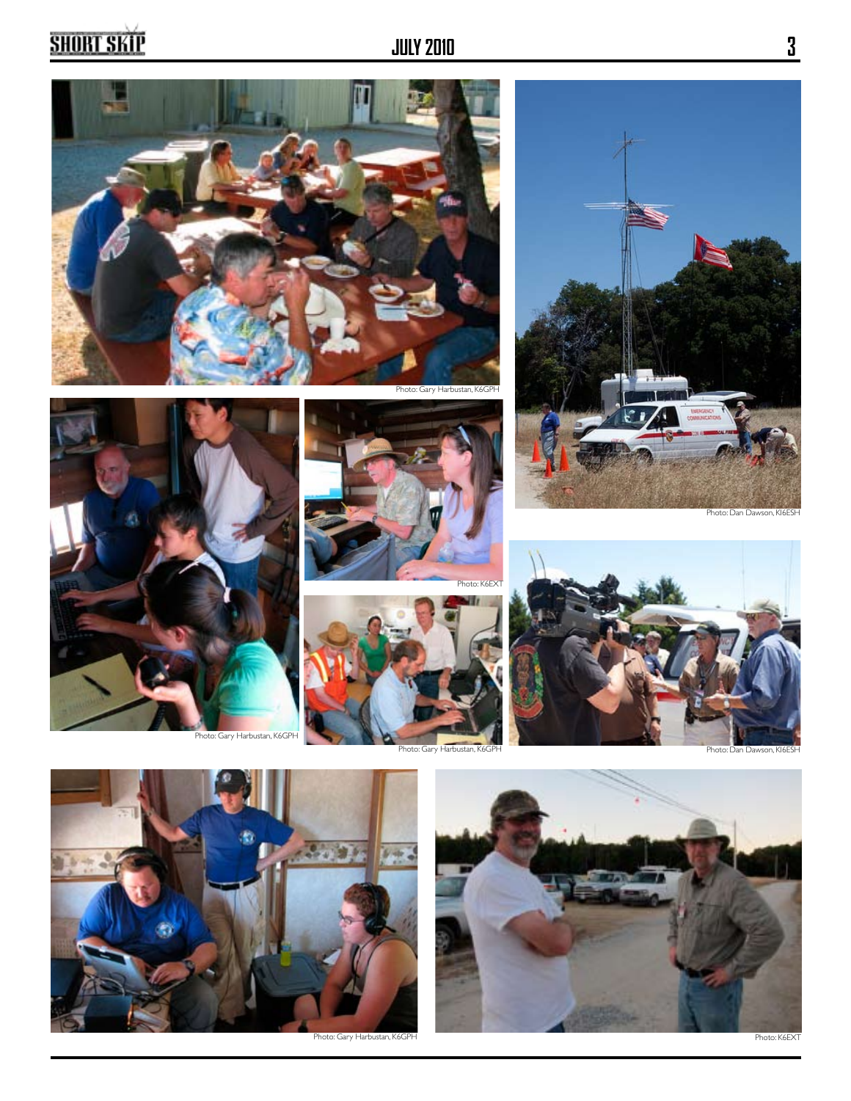# **SHORT SKIP**





Photo: Gary Harbustan, K6GPH









Photo: Gary Harbustan, K6GPH Photo: Dan Dawson, KI6ES